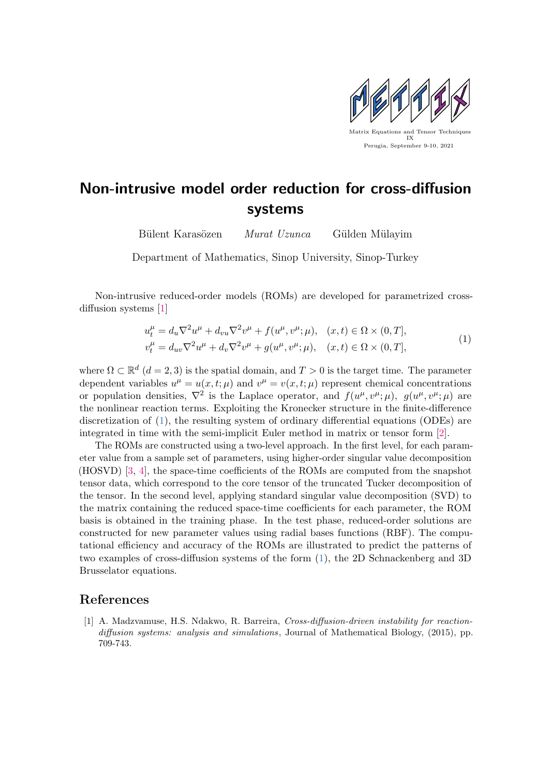

## Non-intrusive model order reduction for cross-diffusion systems

Bülent Karasözen Murat Uzunca Gülden Mülayim

Department of Mathematics, Sinop University, Sinop-Turkey

Non-intrusive reduced-order models (ROMs) are developed for parametrized cross-diffusion systems [\[1\]](#page-0-0)

<span id="page-0-1"></span>
$$
u_t^{\mu} = d_u \nabla^2 u^{\mu} + d_{vu} \nabla^2 v^{\mu} + f(u^{\mu}, v^{\mu}; \mu), \quad (x, t) \in \Omega \times (0, T],
$$
  

$$
v_t^{\mu} = d_{uv} \nabla^2 u^{\mu} + d_v \nabla^2 v^{\mu} + g(u^{\mu}, v^{\mu}; \mu), \quad (x, t) \in \Omega \times (0, T],
$$
 (1)

where  $\Omega \subset \mathbb{R}^d$   $(d = 2, 3)$  is the spatial domain, and  $T > 0$  is the target time. The parameter dependent variables  $u^{\mu} = u(x, t; \mu)$  and  $v^{\mu} = v(x, t; \mu)$  represent chemical concentrations or population densities,  $\nabla^2$  is the Laplace operator, and  $f(u^{\mu}, v^{\mu}; \mu)$ ,  $g(u^{\mu}, v^{\mu}; \mu)$  are the nonlinear reaction terms. Exploiting the Kronecker structure in the finite-difference discretization of [\(1\)](#page-0-1), the resulting system of ordinary differential equations (ODEs) are integrated in time with the semi-implicit Euler method in matrix or tensor form [\[2\]](#page-1-0).

The ROMs are constructed using a two-level approach. In the first level, for each parameter value from a sample set of parameters, using higher-order singular value decomposition (HOSVD) [\[3,](#page-1-1) [4\]](#page-1-2), the space-time coefficients of the ROMs are computed from the snapshot tensor data, which correspond to the core tensor of the truncated Tucker decomposition of the tensor. In the second level, applying standard singular value decomposition (SVD) to the matrix containing the reduced space-time coefficients for each parameter, the ROM basis is obtained in the training phase. In the test phase, reduced-order solutions are constructed for new parameter values using radial bases functions (RBF). The computational efficiency and accuracy of the ROMs are illustrated to predict the patterns of two examples of cross-diffusion systems of the form [\(1\)](#page-0-1), the 2D Schnackenberg and 3D Brusselator equations.

## References

<span id="page-0-0"></span>[1] A. Madzvamuse, H.S. Ndakwo, R. Barreira, Cross-diffusion-driven instability for reactiondiffusion systems: analysis and simulations, Journal of Mathematical Biology, (2015), pp. 709-743.